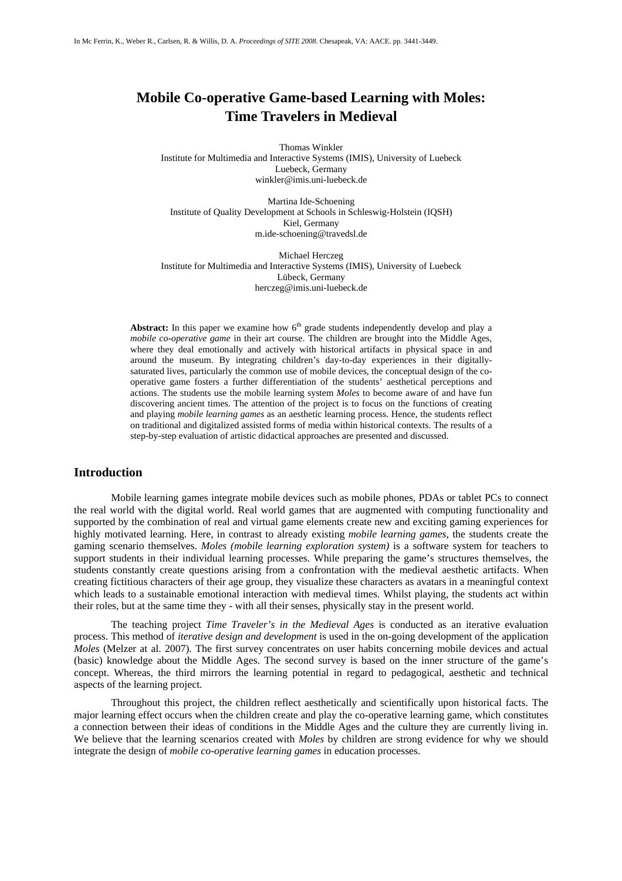# **Mobile Co-operative Game-based Learning with Moles: Time Travelers in Medieval**

 Thomas Winkler Institute for Multimedia and Interactive Systems (IMIS), University of Luebeck Luebeck, Germany winkler@imis.uni-luebeck.de

> Martina Ide-Schoening Institute of Quality Development at Schools in Schleswig-Holstein (IQSH) Kiel, Germany m.ide-schoening@travedsl.de

Michael Herczeg Institute for Multimedia and Interactive Systems (IMIS), University of Luebeck Lübeck, Germany herczeg@imis.uni-luebeck.de

**Abstract:** In this paper we examine how  $6<sup>th</sup>$  grade students independently develop and play a *mobile co-operative game* in their art course. The children are brought into the Middle Ages, where they deal emotionally and actively with historical artifacts in physical space in and around the museum. By integrating children's day-to-day experiences in their digitallysaturated lives, particularly the common use of mobile devices, the conceptual design of the cooperative game fosters a further differentiation of the students' aesthetical perceptions and actions. The students use the mobile learning system *Moles* to become aware of and have fun discovering ancient times. The attention of the project is to focus on the functions of creating and playing *mobile learning games* as an aesthetic learning process. Hence, the students reflect on traditional and digitalized assisted forms of media within historical contexts. The results of a step-by-step evaluation of artistic didactical approaches are presented and discussed.

## **Introduction**

 Mobile learning games integrate mobile devices such as mobile phones, PDAs or tablet PCs to connect the real world with the digital world. Real world games that are augmented with computing functionality and supported by the combination of real and virtual game elements create new and exciting gaming experiences for highly motivated learning. Here, in contrast to already existing *mobile learning games*, the students create the gaming scenario themselves. *Moles (mobile learning exploration system)* is a software system for teachers to support students in their individual learning processes. While preparing the game's structures themselves, the students constantly create questions arising from a confrontation with the medieval aesthetic artifacts. When creating fictitious characters of their age group, they visualize these characters as avatars in a meaningful context which leads to a sustainable emotional interaction with medieval times. Whilst playing, the students act within their roles, but at the same time they - with all their senses, physically stay in the present world.

 The teaching project *Time Traveler's in the Medieval Ages* is conducted as an iterative evaluation process. This method of *iterative design and development* is used in the on-going development of the application *Moles* (Melzer at al. 2007)*.* The first survey concentrates on user habits concerning mobile devices and actual (basic) knowledge about the Middle Ages. The second survey is based on the inner structure of the game's concept. Whereas, the third mirrors the learning potential in regard to pedagogical, aesthetic and technical aspects of the learning project.

 Throughout this project, the children reflect aesthetically and scientifically upon historical facts. The major learning effect occurs when the children create and play the co-operative learning game, which constitutes a connection between their ideas of conditions in the Middle Ages and the culture they are currently living in. We believe that the learning scenarios created with *Moles* by children are strong evidence for why we should integrate the design of *mobile co-operative learning games* in education processes.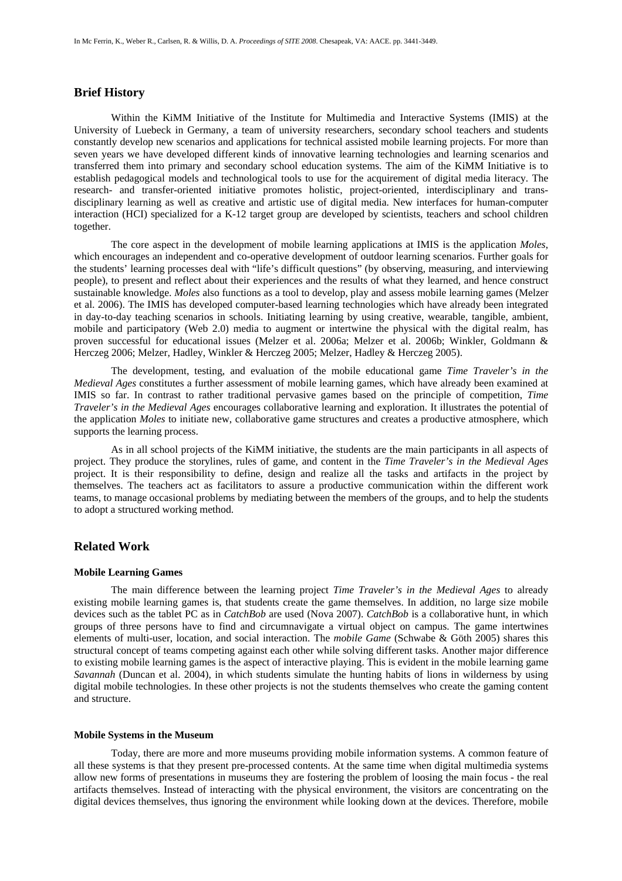## **Brief History**

 Within the KiMM Initiative of the Institute for Multimedia and Interactive Systems (IMIS) at the University of Luebeck in Germany, a team of university researchers, secondary school teachers and students constantly develop new scenarios and applications for technical assisted mobile learning projects. For more than seven years we have developed different kinds of innovative learning technologies and learning scenarios and transferred them into primary and secondary school education systems. The aim of the KiMM Initiative is to establish pedagogical models and technological tools to use for the acquirement of digital media literacy. The research- and transfer-oriented initiative promotes holistic, project-oriented, interdisciplinary and transdisciplinary learning as well as creative and artistic use of digital media. New interfaces for human-computer interaction (HCI) specialized for a K-12 target group are developed by scientists, teachers and school children together.

 The core aspect in the development of mobile learning applications at IMIS is the application *Moles*, which encourages an independent and co-operative development of outdoor learning scenarios. Further goals for the students' learning processes deal with "life's difficult questions" (by observing, measuring, and interviewing people), to present and reflect about their experiences and the results of what they learned, and hence construct sustainable knowledge. *Moles* also functions as a tool to develop, play and assess mobile learning games (Melzer et al. 2006). The IMIS has developed computer-based learning technologies which have already been integrated in day-to-day teaching scenarios in schools. Initiating learning by using creative, wearable, tangible, ambient, mobile and participatory (Web 2.0) media to augment or intertwine the physical with the digital realm, has proven successful for educational issues (Melzer et al. 2006a; Melzer et al. 2006b; Winkler, Goldmann & Herczeg 2006; Melzer, Hadley, Winkler & Herczeg 2005; Melzer, Hadley & Herczeg 2005).

 The development, testing, and evaluation of the mobile educational game *Time Traveler's in the Medieval Ages* constitutes a further assessment of mobile learning games, which have already been examined at IMIS so far. In contrast to rather traditional pervasive games based on the principle of competition, *Time Traveler's in the Medieval Ages* encourages collaborative learning and exploration. It illustrates the potential of the application *Moles* to initiate new, collaborative game structures and creates a productive atmosphere, which supports the learning process.

 As in all school projects of the KiMM initiative, the students are the main participants in all aspects of project. They produce the storylines, rules of game, and content in the *Time Traveler's in the Medieval Ages*  project. It is their responsibility to define, design and realize all the tasks and artifacts in the project by themselves. The teachers act as facilitators to assure a productive communication within the different work teams, to manage occasional problems by mediating between the members of the groups, and to help the students to adopt a structured working method.

## **Related Work**

#### **Mobile Learning Games**

 The main difference between the learning project *Time Traveler's in the Medieval Ages* to already existing mobile learning games is, that students create the game themselves. In addition, no large size mobile devices such as the tablet PC as in *CatchBob* are used (Nova 2007). *CatchBob* is a collaborative hunt, in which groups of three persons have to find and circumnavigate a virtual object on campus. The game intertwines elements of multi-user, location, and social interaction. The *mobile Game* (Schwabe & Göth 2005) shares this structural concept of teams competing against each other while solving different tasks. Another major difference to existing mobile learning games is the aspect of interactive playing. This is evident in the mobile learning game *Savannah* (Duncan et al. 2004), in which students simulate the hunting habits of lions in wilderness by using digital mobile technologies. In these other projects is not the students themselves who create the gaming content and structure.

#### **Mobile Systems in the Museum**

 Today, there are more and more museums providing mobile information systems. A common feature of all these systems is that they present pre-processed contents. At the same time when digital multimedia systems allow new forms of presentations in museums they are fostering the problem of loosing the main focus - the real artifacts themselves. Instead of interacting with the physical environment, the visitors are concentrating on the digital devices themselves, thus ignoring the environment while looking down at the devices. Therefore, mobile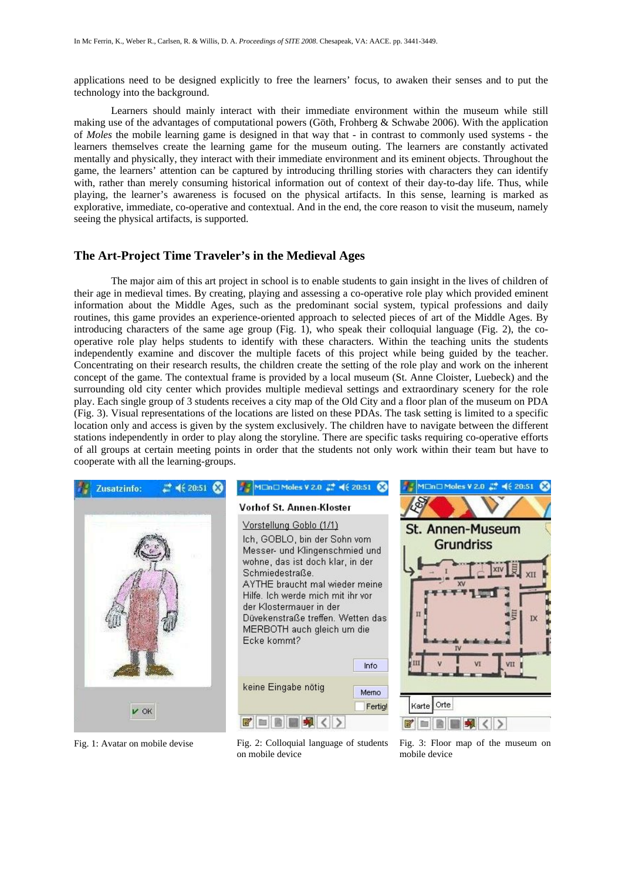applications need to be designed explicitly to free the learners' focus, to awaken their senses and to put the technology into the background.

Learners should mainly interact with their immediate environment within the museum while still making use of the advantages of computational powers (Göth, Frohberg & Schwabe 2006). With the application of *Moles* the mobile learning game is designed in that way that - in contrast to commonly used systems - the learners themselves create the learning game for the museum outing. The learners are constantly activated mentally and physically, they interact with their immediate environment and its eminent objects. Throughout the game, the learners' attention can be captured by introducing thrilling stories with characters they can identify with, rather than merely consuming historical information out of context of their day-to-day life. Thus, while playing, the learner's awareness is focused on the physical artifacts. In this sense, learning is marked as explorative, immediate, co-operative and contextual. And in the end, the core reason to visit the museum, namely seeing the physical artifacts, is supported.

## **The Art-Project Time Traveler's in the Medieval Ages**

 The major aim of this art project in school is to enable students to gain insight in the lives of children of their age in medieval times. By creating, playing and assessing a co-operative role play which provided eminent information about the Middle Ages, such as the predominant social system, typical professions and daily routines, this game provides an experience-oriented approach to selected pieces of art of the Middle Ages. By introducing characters of the same age group (Fig. 1), who speak their colloquial language (Fig. 2), the cooperative role play helps students to identify with these characters. Within the teaching units the students independently examine and discover the multiple facets of this project while being guided by the teacher. Concentrating on their research results, the children create the setting of the role play and work on the inherent concept of the game. The contextual frame is provided by a local museum (St. Anne Cloister, Luebeck) and the surrounding old city center which provides multiple medieval settings and extraordinary scenery for the role play. Each single group of 3 students receives a city map of the Old City and a floor plan of the museum on PDA (Fig. 3). Visual representations of the locations are listed on these PDAs. The task setting is limited to a specific location only and access is given by the system exclusively. The children have to navigate between the different stations independently in order to play along the storyline. There are specific tasks requiring co-operative efforts of all groups at certain meeting points in order that the students not only work within their team but have to cooperate with all the learning-groups.



Fig. 1: Avatar on mobile devise Fig. 2: Colloquial language of students on mobile device

Fig. 3: Floor map of the museum on mobile device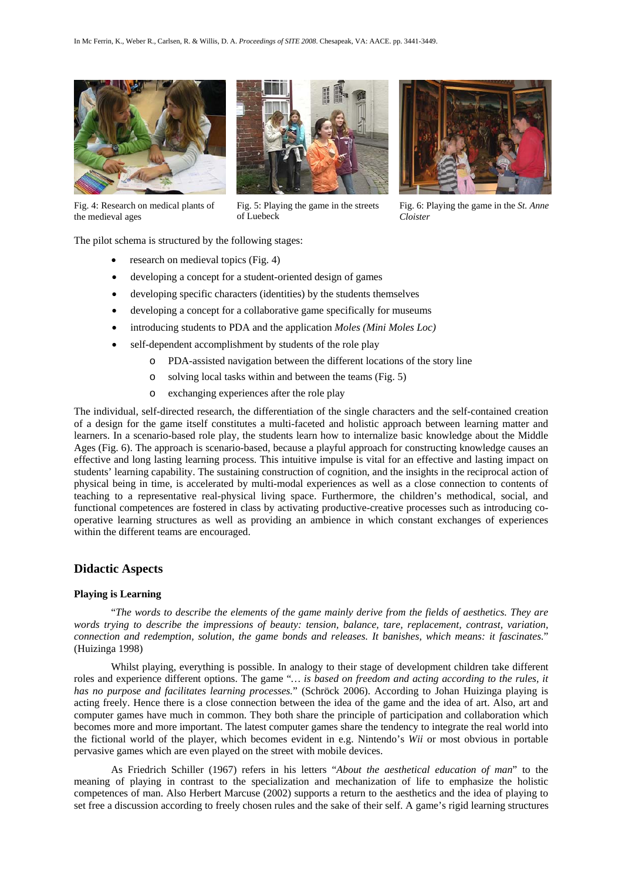

Fig. 4: Research on medical plants of the medieval ages

![](_page_3_Picture_3.jpeg)

Fig. 5: Playing the game in the streets

Fig. 6: Playing the game in the *St. Anne Cloister* 

The pilot schema is structured by the following stages:

- research on medieval topics (Fig. 4)
- developing a concept for a student-oriented design of games
- developing specific characters (identities) by the students themselves

of Luebeck

- developing a concept for a collaborative game specifically for museums
- introducing students to PDA and the application *Moles (Mini Moles Loc)*
- self-dependent accomplishment by students of the role play
	- PDA-assisted navigation between the different locations of the story line
	- o solving local tasks within and between the teams (Fig. 5)
	- o exchanging experiences after the role play

The individual, self-directed research, the differentiation of the single characters and the self-contained creation of a design for the game itself constitutes a multi-faceted and holistic approach between learning matter and learners. In a scenario-based role play, the students learn how to internalize basic knowledge about the Middle Ages (Fig. 6). The approach is scenario-based, because a playful approach for constructing knowledge causes an effective and long lasting learning process. This intuitive impulse is vital for an effective and lasting impact on students' learning capability. The sustaining construction of cognition, and the insights in the reciprocal action of physical being in time, is accelerated by multi-modal experiences as well as a close connection to contents of teaching to a representative real-physical living space. Furthermore, the children's methodical, social, and functional competences are fostered in class by activating productive-creative processes such as introducing cooperative learning structures as well as providing an ambience in which constant exchanges of experiences within the different teams are encouraged.

## **Didactic Aspects**

#### **Playing is Learning**

 "*The words to describe the elements of the game mainly derive from the fields of aesthetics. They are words trying to describe the impressions of beauty: tension, balance, tare, replacement, contrast, variation, connection and redemption, solution, the game bonds and releases. It banishes, which means: it fascinates.*" (Huizinga 1998)

 Whilst playing, everything is possible. In analogy to their stage of development children take different roles and experience different options. The game "*… is based on freedom and acting according to the rules, it has no purpose and facilitates learning processes.*" (Schröck 2006). According to Johan Huizinga playing is acting freely. Hence there is a close connection between the idea of the game and the idea of art. Also, art and computer games have much in common. They both share the principle of participation and collaboration which becomes more and more important. The latest computer games share the tendency to integrate the real world into the fictional world of the player, which becomes evident in e.g. Nintendo's *Wii* or most obvious in portable pervasive games which are even played on the street with mobile devices.

 As Friedrich Schiller (1967) refers in his letters "*About the aesthetical education of man*" to the meaning of playing in contrast to the specialization and mechanization of life to emphasize the holistic competences of man. Also Herbert Marcuse (2002) supports a return to the aesthetics and the idea of playing to set free a discussion according to freely chosen rules and the sake of their self. A game's rigid learning structures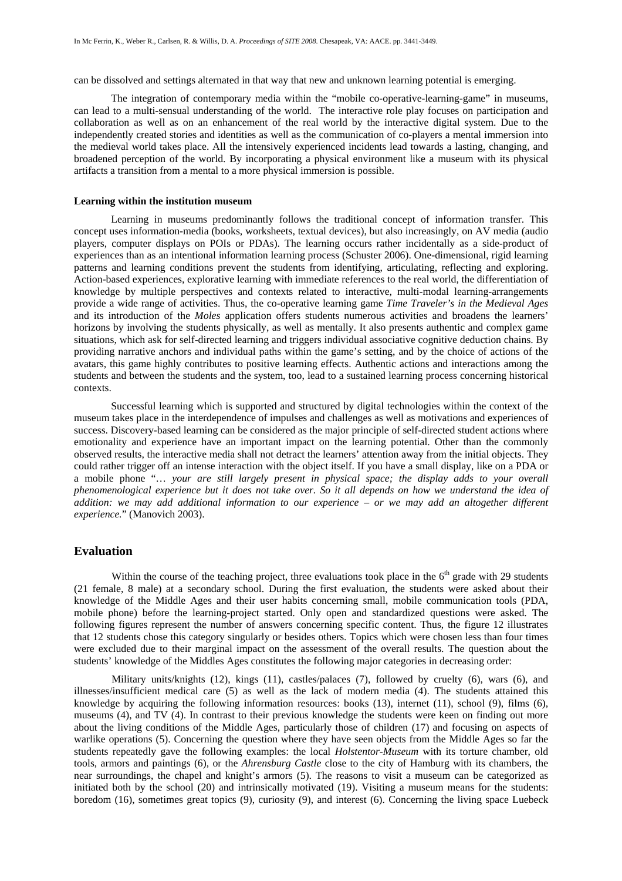can be dissolved and settings alternated in that way that new and unknown learning potential is emerging.

 The integration of contemporary media within the "mobile co-operative-learning-game" in museums, can lead to a multi-sensual understanding of the world. The interactive role play focuses on participation and collaboration as well as on an enhancement of the real world by the interactive digital system. Due to the independently created stories and identities as well as the communication of co-players a mental immersion into the medieval world takes place. All the intensively experienced incidents lead towards a lasting, changing, and broadened perception of the world. By incorporating a physical environment like a museum with its physical artifacts a transition from a mental to a more physical immersion is possible.

#### **Learning within the institution museum**

 Learning in museums predominantly follows the traditional concept of information transfer. This concept uses information-media (books, worksheets, textual devices), but also increasingly, on AV media (audio players, computer displays on POIs or PDAs). The learning occurs rather incidentally as a side-product of experiences than as an intentional information learning process (Schuster 2006). One-dimensional, rigid learning patterns and learning conditions prevent the students from identifying, articulating, reflecting and exploring. Action-based experiences, explorative learning with immediate references to the real world, the differentiation of knowledge by multiple perspectives and contexts related to interactive, multi-modal learning-arrangements provide a wide range of activities. Thus, the co-operative learning game *Time Traveler's in the Medieval Ages*  and its introduction of the *Moles* application offers students numerous activities and broadens the learners' horizons by involving the students physically, as well as mentally. It also presents authentic and complex game situations, which ask for self-directed learning and triggers individual associative cognitive deduction chains. By providing narrative anchors and individual paths within the game's setting, and by the choice of actions of the avatars, this game highly contributes to positive learning effects. Authentic actions and interactions among the students and between the students and the system, too, lead to a sustained learning process concerning historical contexts.

 Successful learning which is supported and structured by digital technologies within the context of the museum takes place in the interdependence of impulses and challenges as well as motivations and experiences of success. Discovery-based learning can be considered as the major principle of self-directed student actions where emotionality and experience have an important impact on the learning potential. Other than the commonly observed results, the interactive media shall not detract the learners' attention away from the initial objects. They could rather trigger off an intense interaction with the object itself. If you have a small display, like on a PDA or a mobile phone "… *your are still largely present in physical space; the display adds to your overall phenomenological experience but it does not take over. So it all depends on how we understand the idea of addition: we may add additional information to our experience – or we may add an altogether different experience.*" (Manovich 2003).

#### **Evaluation**

Within the course of the teaching project, three evaluations took place in the  $6<sup>th</sup>$  grade with 29 students (21 female, 8 male) at a secondary school. During the first evaluation, the students were asked about their knowledge of the Middle Ages and their user habits concerning small, mobile communication tools (PDA, mobile phone) before the learning-project started. Only open and standardized questions were asked. The following figures represent the number of answers concerning specific content. Thus, the figure 12 illustrates that 12 students chose this category singularly or besides others. Topics which were chosen less than four times were excluded due to their marginal impact on the assessment of the overall results. The question about the students' knowledge of the Middles Ages constitutes the following major categories in decreasing order:

Military units/knights (12), kings (11), castles/palaces (7), followed by cruelty (6), wars (6), and illnesses/insufficient medical care (5) as well as the lack of modern media (4). The students attained this knowledge by acquiring the following information resources: books (13), internet (11), school (9), films (6), museums (4), and TV (4). In contrast to their previous knowledge the students were keen on finding out more about the living conditions of the Middle Ages, particularly those of children (17) and focusing on aspects of warlike operations (5). Concerning the question where they have seen objects from the Middle Ages so far the students repeatedly gave the following examples: the local *Holstentor-Museum* with its torture chamber, old tools, armors and paintings (6), or the *Ahrensburg Castle* close to the city of Hamburg with its chambers, the near surroundings, the chapel and knight's armors (5). The reasons to visit a museum can be categorized as initiated both by the school (20) and intrinsically motivated (19). Visiting a museum means for the students: boredom (16), sometimes great topics (9), curiosity (9), and interest (6). Concerning the living space Luebeck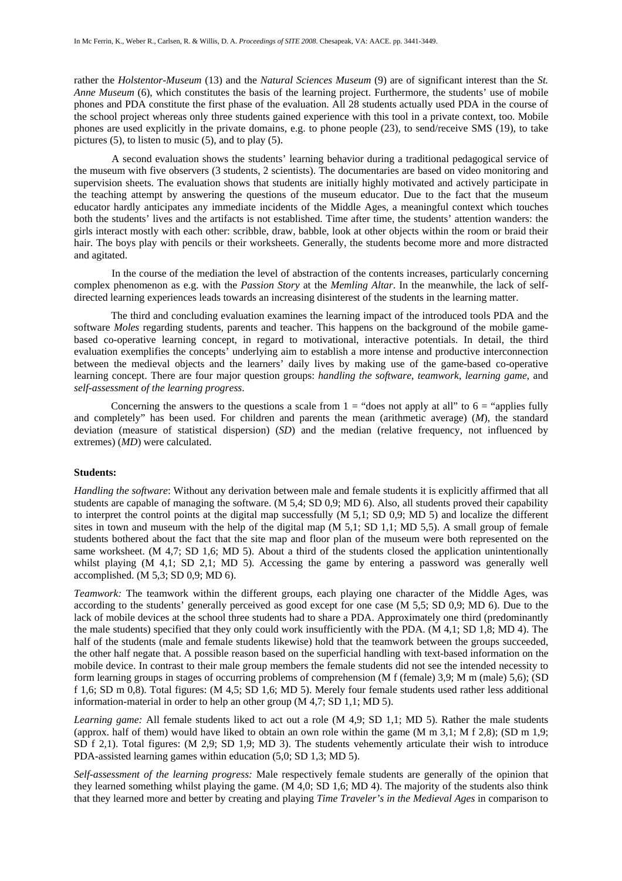rather the *Holstentor-Museum* (13) and the *Natural Sciences Museum* (9) are of significant interest than the *St. Anne Museum* (6), which constitutes the basis of the learning project. Furthermore, the students' use of mobile phones and PDA constitute the first phase of the evaluation. All 28 students actually used PDA in the course of the school project whereas only three students gained experience with this tool in a private context, too. Mobile phones are used explicitly in the private domains, e.g. to phone people (23), to send/receive SMS (19), to take pictures (5), to listen to music (5), and to play (5).

A second evaluation shows the students' learning behavior during a traditional pedagogical service of the museum with five observers (3 students, 2 scientists). The documentaries are based on video monitoring and supervision sheets. The evaluation shows that students are initially highly motivated and actively participate in the teaching attempt by answering the questions of the museum educator. Due to the fact that the museum educator hardly anticipates any immediate incidents of the Middle Ages, a meaningful context which touches both the students' lives and the artifacts is not established. Time after time, the students' attention wanders: the girls interact mostly with each other: scribble, draw, babble, look at other objects within the room or braid their hair. The boys play with pencils or their worksheets. Generally, the students become more and more distracted and agitated.

In the course of the mediation the level of abstraction of the contents increases, particularly concerning complex phenomenon as e.g. with the *Passion Story* at the *Memling Altar*. In the meanwhile, the lack of selfdirected learning experiences leads towards an increasing disinterest of the students in the learning matter.

 The third and concluding evaluation examines the learning impact of the introduced tools PDA and the software *Moles* regarding students, parents and teacher. This happens on the background of the mobile gamebased co-operative learning concept, in regard to motivational, interactive potentials. In detail, the third evaluation exemplifies the concepts' underlying aim to establish a more intense and productive interconnection between the medieval objects and the learners' daily lives by making use of the game-based co-operative learning concept. There are four major question groups: *handling the software*, *teamwork*, *learning game*, and *self-assessment of the learning progress*.

Concerning the answers to the questions a scale from  $1 =$  "does not apply at all" to  $6 =$  "applies fully" and completely" has been used. For children and parents the mean (arithmetic average) (*M*), the standard deviation (measure of statistical dispersion) (*SD*) and the median (relative frequency, not influenced by extremes) (*MD*) were calculated.

#### **Students:**

*Handling the software*: Without any derivation between male and female students it is explicitly affirmed that all students are capable of managing the software. (M 5,4; SD 0,9; MD 6). Also, all students proved their capability to interpret the control points at the digital map successfully (M 5,1; SD 0,9; MD 5) and localize the different sites in town and museum with the help of the digital map (M 5,1; SD 1,1; MD 5,5). A small group of female students bothered about the fact that the site map and floor plan of the museum were both represented on the same worksheet. (M 4,7; SD 1,6; MD 5). About a third of the students closed the application unintentionally whilst playing (M 4,1; SD 2,1; MD 5). Accessing the game by entering a password was generally well accomplished. (M 5,3; SD 0,9; MD 6).

*Teamwork:* The teamwork within the different groups, each playing one character of the Middle Ages, was according to the students' generally perceived as good except for one case (M 5,5; SD 0,9; MD 6). Due to the lack of mobile devices at the school three students had to share a PDA. Approximately one third (predominantly the male students) specified that they only could work insufficiently with the PDA. (M 4,1; SD 1,8; MD 4). The half of the students (male and female students likewise) hold that the teamwork between the groups succeeded, the other half negate that. A possible reason based on the superficial handling with text-based information on the mobile device. In contrast to their male group members the female students did not see the intended necessity to form learning groups in stages of occurring problems of comprehension (M f (female) 3,9; M m (male) 5,6); (SD f 1,6; SD m 0,8). Total figures: (M 4,5; SD 1,6; MD 5). Merely four female students used rather less additional information-material in order to help an other group (M 4,7; SD 1,1; MD 5).

*Learning game:* All female students liked to act out a role (M 4,9; SD 1,1; MD 5). Rather the male students (approx. half of them) would have liked to obtain an own role within the game (M m  $3,1$ ; M f 2,8); (SD m 1,9; SD f 2,1). Total figures: (M 2,9; SD 1,9; MD 3). The students vehemently articulate their wish to introduce PDA-assisted learning games within education (5,0; SD 1,3; MD 5).

*Self-assessment of the learning progress:* Male respectively female students are generally of the opinion that they learned something whilst playing the game. (M 4,0; SD 1,6; MD 4). The majority of the students also think that they learned more and better by creating and playing *Time Traveler's in the Medieval Ages* in comparison to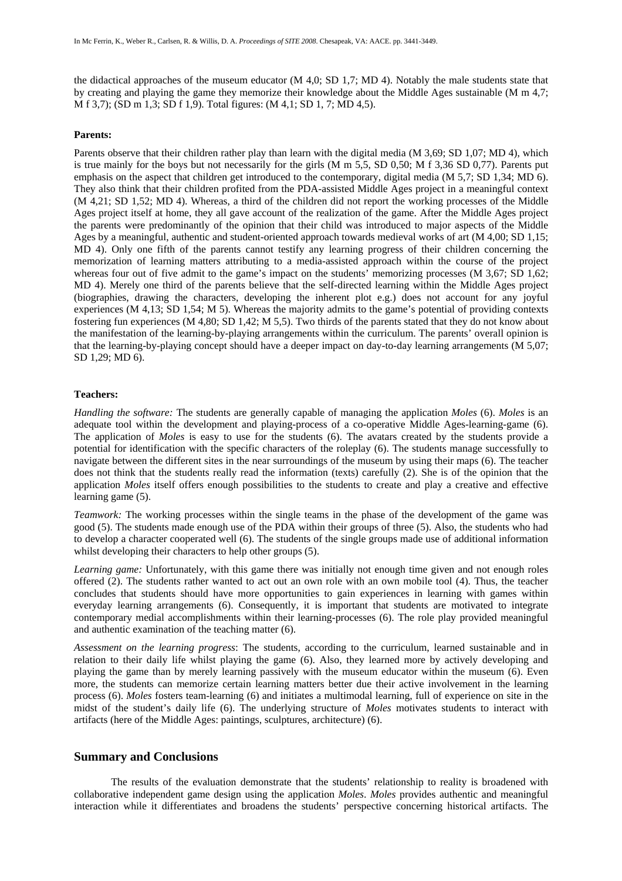the didactical approaches of the museum educator (M 4,0; SD 1,7; MD 4). Notably the male students state that by creating and playing the game they memorize their knowledge about the Middle Ages sustainable (M m 4,7; M f 3,7); (SD m 1,3; SD f 1,9). Total figures: (M 4,1; SD 1, 7; MD 4,5).

#### **Parents:**

Parents observe that their children rather play than learn with the digital media (M 3,69; SD 1,07; MD 4), which is true mainly for the boys but not necessarily for the girls (M m 5,5, SD 0,50; M f 3,36 SD 0,77). Parents put emphasis on the aspect that children get introduced to the contemporary, digital media (M 5,7; SD 1,34; MD 6). They also think that their children profited from the PDA-assisted Middle Ages project in a meaningful context (M 4,21; SD 1,52; MD 4). Whereas, a third of the children did not report the working processes of the Middle Ages project itself at home, they all gave account of the realization of the game. After the Middle Ages project the parents were predominantly of the opinion that their child was introduced to major aspects of the Middle Ages by a meaningful, authentic and student-oriented approach towards medieval works of art (M 4,00; SD 1,15; MD 4). Only one fifth of the parents cannot testify any learning progress of their children concerning the memorization of learning matters attributing to a media-assisted approach within the course of the project whereas four out of five admit to the game's impact on the students' memorizing processes (M 3,67; SD 1,62; MD 4). Merely one third of the parents believe that the self-directed learning within the Middle Ages project (biographies, drawing the characters, developing the inherent plot e.g.) does not account for any joyful experiences (M 4,13; SD 1,54; M 5). Whereas the majority admits to the game's potential of providing contexts fostering fun experiences (M 4,80; SD 1,42; M 5,5). Two thirds of the parents stated that they do not know about the manifestation of the learning-by-playing arrangements within the curriculum. The parents' overall opinion is that the learning-by-playing concept should have a deeper impact on day-to-day learning arrangements (M 5,07; SD 1,29; MD 6).

## **Teachers:**

*Handling the software:* The students are generally capable of managing the application *Moles* (6). *Moles* is an adequate tool within the development and playing-process of a co-operative Middle Ages-learning-game (6). The application of *Moles* is easy to use for the students (6). The avatars created by the students provide a potential for identification with the specific characters of the roleplay (6). The students manage successfully to navigate between the different sites in the near surroundings of the museum by using their maps (6). The teacher does not think that the students really read the information (texts) carefully (2). She is of the opinion that the application *Moles* itself offers enough possibilities to the students to create and play a creative and effective learning game (5).

*Teamwork:* The working processes within the single teams in the phase of the development of the game was good (5). The students made enough use of the PDA within their groups of three (5). Also, the students who had to develop a character cooperated well (6). The students of the single groups made use of additional information whilst developing their characters to help other groups (5).

*Learning game:* Unfortunately, with this game there was initially not enough time given and not enough roles offered (2). The students rather wanted to act out an own role with an own mobile tool (4). Thus, the teacher concludes that students should have more opportunities to gain experiences in learning with games within everyday learning arrangements (6). Consequently, it is important that students are motivated to integrate contemporary medial accomplishments within their learning-processes (6). The role play provided meaningful and authentic examination of the teaching matter (6).

*Assessment on the learning progress*: The students, according to the curriculum, learned sustainable and in relation to their daily life whilst playing the game (6). Also, they learned more by actively developing and playing the game than by merely learning passively with the museum educator within the museum (6). Even more, the students can memorize certain learning matters better due their active involvement in the learning process (6). *Moles* fosters team-learning (6) and initiates a multimodal learning, full of experience on site in the midst of the student's daily life (6). The underlying structure of *Moles* motivates students to interact with artifacts (here of the Middle Ages: paintings, sculptures, architecture) (6).

## **Summary and Conclusions**

 The results of the evaluation demonstrate that the students' relationship to reality is broadened with collaborative independent game design using the application *Moles*. *Moles* provides authentic and meaningful interaction while it differentiates and broadens the students' perspective concerning historical artifacts. The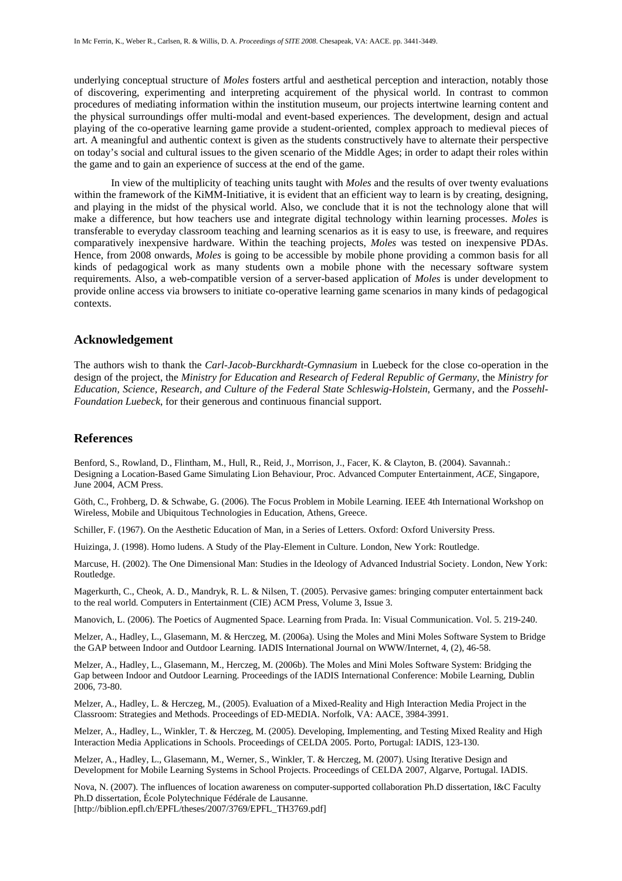underlying conceptual structure of *Moles* fosters artful and aesthetical perception and interaction, notably those of discovering, experimenting and interpreting acquirement of the physical world. In contrast to common procedures of mediating information within the institution museum, our projects intertwine learning content and the physical surroundings offer multi-modal and event-based experiences. The development, design and actual playing of the co-operative learning game provide a student-oriented, complex approach to medieval pieces of art. A meaningful and authentic context is given as the students constructively have to alternate their perspective on today's social and cultural issues to the given scenario of the Middle Ages; in order to adapt their roles within the game and to gain an experience of success at the end of the game.

 In view of the multiplicity of teaching units taught with *Moles* and the results of over twenty evaluations within the framework of the KiMM-Initiative, it is evident that an efficient way to learn is by creating, designing, and playing in the midst of the physical world. Also, we conclude that it is not the technology alone that will make a difference, but how teachers use and integrate digital technology within learning processes. *Moles* is transferable to everyday classroom teaching and learning scenarios as it is easy to use, is freeware, and requires comparatively inexpensive hardware. Within the teaching projects, *Moles* was tested on inexpensive PDAs. Hence, from 2008 onwards, *Moles* is going to be accessible by mobile phone providing a common basis for all kinds of pedagogical work as many students own a mobile phone with the necessary software system requirements. Also, a web-compatible version of a server-based application of *Moles* is under development to provide online access via browsers to initiate co-operative learning game scenarios in many kinds of pedagogical contexts.

#### **Acknowledgement**

The authors wish to thank the *Carl-Jacob-Burckhardt-Gymnasium* in Luebeck for the close co-operation in the design of the project, the *Ministry for Education and Research of Federal Republic of Germany*, the *Ministry for Education, Science, Research, and Culture of the Federal State Schleswig-Holstein*, Germany, and the *Possehl-Foundation Luebeck*, for their generous and continuous financial support.

## **References**

Benford, S., Rowland, D., Flintham, M., Hull, R., Reid, J., Morrison, J., Facer, K. & Clayton, B. (2004). Savannah.: Designing a Location-Based Game Simulating Lion Behaviour, Proc. Advanced Computer Entertainment*, ACE*, Singapore, June 2004, ACM Press.

Göth, C., Frohberg, D. & Schwabe, G. (2006). The Focus Problem in Mobile Learning. IEEE 4th International Workshop on Wireless, Mobile and Ubiquitous Technologies in Education, Athens, Greece.

Schiller, F. (1967). On the Aesthetic Education of Man, in a Series of Letters. Oxford: Oxford University Press.

Huizinga, J. (1998). Homo ludens. A Study of the Play-Element in Culture. London, New York: Routledge.

Marcuse, H. (2002). The One Dimensional Man: Studies in the Ideology of Advanced Industrial Society. London, New York: Routledge.

Magerkurth, C., Cheok, A. D., Mandryk, R. L. & Nilsen, T. (2005). Pervasive games: bringing computer entertainment back to the real world. Computers in Entertainment (CIE) ACM Press, Volume 3, Issue 3.

Manovich, L. (2006). The Poetics of Augmented Space. Learning from Prada. In: Visual Communication. Vol. 5. 219-240.

Melzer, A., Hadley, L., Glasemann, M. & Herczeg, M. (2006a). Using the Moles and Mini Moles Software System to Bridge the GAP between Indoor and Outdoor Learning. IADIS International Journal on WWW/Internet, 4, (2), 46-58.

Melzer, A., Hadley, L., Glasemann, M., Herczeg, M. (2006b). The Moles and Mini Moles Software System: Bridging the Gap between Indoor and Outdoor Learning. Proceedings of the IADIS International Conference: Mobile Learning, Dublin 2006, 73-80.

Melzer, A., Hadley, L. & Herczeg, M., (2005). Evaluation of a Mixed-Reality and High Interaction Media Project in the Classroom: Strategies and Methods. Proceedings of ED-MEDIA. Norfolk, VA: AACE, 3984-3991.

Melzer, A., Hadley, L., Winkler, T. & Herczeg, M. (2005). Developing, Implementing, and Testing Mixed Reality and High Interaction Media Applications in Schools. Proceedings of CELDA 2005. Porto, Portugal: IADIS, 123-130.

Melzer, A., Hadley, L., Glasemann, M., Werner, S., Winkler, T. & Herczeg, M. (2007). Using Iterative Design and Development for Mobile Learning Systems in School Projects. Proceedings of CELDA 2007, Algarve, Portugal. IADIS.

Nova, N. (2007). The influences of location awareness on computer-supported collaboration Ph.D dissertation, I&C Faculty Ph.D dissertation, École Polytechnique Fédérale de Lausanne.

[http://biblion.epfl.ch/EPFL/theses/2007/3769/EPFL\_TH3769.pdf]